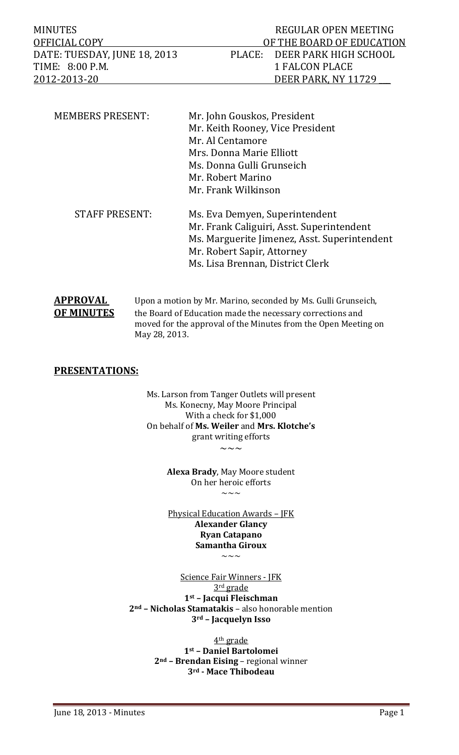MINUTES NEGULAR OPEN MEETING OFFICIAL COPY **DEFICIAL COPY OF THE BOARD OF EDUCATION** DATE: TUESDAY, JUNE 18, 2013 PLACE: DEER PARK HIGH SCHOOL TIME: 8:00 P.M. 1 FALCON PLACE 2012‐2013‐20 DEER PARK, NY 11729 \_\_\_ 

| Mr. John Gouskos, President                  |
|----------------------------------------------|
| Mr. Keith Rooney, Vice President             |
| Mr. Al Centamore                             |
| Mrs. Donna Marie Elliott                     |
| Ms. Donna Gulli Grunseich                    |
| Mr. Robert Marino                            |
| Mr. Frank Wilkinson                          |
| Ms. Eva Demyen, Superintendent               |
| Mr. Frank Caliguiri, Asst. Superintendent    |
| Ms. Marguerite Jimenez, Asst. Superintendent |
| Mr. Robert Sapir, Attorney                   |
|                                              |
|                                              |

| APPROVAL          | Upon a motion by Mr. Marino, seconded by Ms. Gulli Grunseich,                   |
|-------------------|---------------------------------------------------------------------------------|
| <b>OF MINUTES</b> | the Board of Education made the necessary corrections and                       |
|                   | moved for the approval of the Minutes from the Open Meeting on<br>May 28, 2013. |
|                   |                                                                                 |

#### **PRESENTATIONS:**

Ms. Larson from Tanger Outlets will present Ms. Konecny, May Moore Principal With a check for \$1,000 On behalf of **Ms. Weiler** and **Mrs. Klotche's** grant writing efforts  $\sim\sim\sim$ 

**Alexa Brady**, May Moore student On her heroic efforts  $\sim\sim\sim$ 

Physical Education Awards - JFK **Alexander Glancy Ryan Catapano Samantha Giroux**

 $\sim\sim\sim$ 

Science Fair Winners - JFK 3<sup>rd</sup> grade **1st – Jacqui Fleischman 2nd – Nicholas Stamatakis** – also honorable mention **3rd – Jacquelyn Isso**

> 4<sup>th</sup> grade **1st – Daniel Bartolomei 2nd – Brendan Eising** – regional winner **3rd ‐ Mace Thibodeau**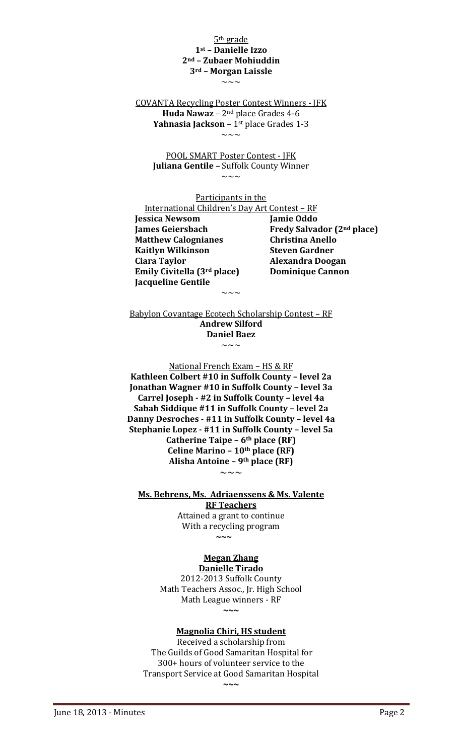#### 5<sup>th</sup> grade **1st – Danielle Izzo 2nd – Zubaer Mohiuddin 3rd – Morgan Laissle**  $\sim\sim\,\sim$

COVANTA Recycling Poster Contest Winners - [FK **Huda Nawaz** –  $2^{nd}$  place Grades 4-6 **Yahnasia Jackson** – 1<sup>st</sup> place Grades 1-3  $\sim\sim\,\sim$ 

POOL SMART Poster Contest - JFK **Juliana Gentile** - Suffolk County Winner  $\sim\sim\sim$ 

Participants in the

International Children's Day Art Contest - RF  **Jessica Newsom Jamie Oddo Matthew Calognianes Christina Anello Kaitlyn Wilkinson Steven Gardner Ciara Taylor Alexandra Doogan Emily Civitella (3rd place) Dominique Cannon Jacqueline Gentile** 

 **James Geiersbach Fredy Salvador (2nd place)**

Babylon Covantage Ecotech Scholarship Contest - RF **Andrew Silford Daniel** Baez  $\sim\sim\,\sim$ 

 $\sim\sim\sim$ 

National French Exam - HS & RF **Kathleen Colbert #10 in Suffolk County – level 2a Jonathan Wagner #10 in Suffolk County – level 3a Carrel Joseph ‐ #2 in Suffolk County – level 4a Sabah Siddique #11 in Suffolk County – level 2a Danny Desroches ‐ #11 in Suffolk County – level 4a Stephanie Lopez ‐ #11 in Suffolk County – level 5a Catherine Taipe – 6th place (RF) Celine Marino – 10th place (RF) Alisha Antoine – 9th place (RF)**  $\sim\sim\sim$ 

**Ms. Behrens, Ms. Adriaenssens & Ms. Valente RF Teachers**

Attained a grant to continue With a recycling program **~**~~~~~~~~~~~~~~

#### **Megan Zhang Danielle Tirado**

2012‐2013 Suffolk County Math Teachers Assoc., Jr. High School Math League winners - RF **~~~**

#### **Magnolia Chiri, HS student**

Received a scholarship from The Guilds of Good Samaritan Hospital for 300+ hours of volunteer service to the Transport Service at Good Samaritan Hospital **~~~**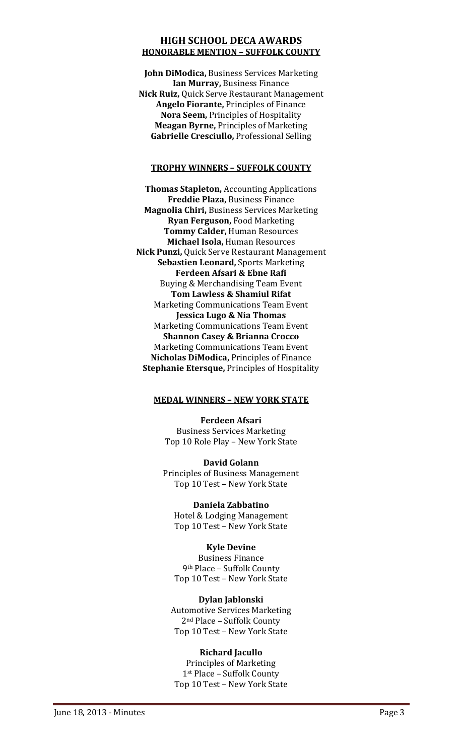#### **HIGH SCHOOL DECA AWARDS HONORABLE MENTION – SUFFOLK COUNTY**

**John DiModica, Business Services Marketing Ian Murray,** Business Finance **Nick Ruiz, Quick Serve Restaurant Management Angelo Fiorante, Principles of Finance Nora Seem, Principles of Hospitality Meagan Byrne, Principles of Marketing Gabrielle Cresciullo, Professional Selling** 

#### **TROPHY WINNERS – SUFFOLK COUNTY**

**Thomas Stapleton, Accounting Applications Freddie Plaza,** Business Finance **Magnolia Chiri,** Business Services Marketing **Ryan Ferguson,** Food Marketing **Tommy Calder,** Human Resources **Michael Isola,** Human Resources **Nick Punzi, Quick Serve Restaurant Management Sebastien Leonard, Sports Marketing Ferdeen Afsari & Ebne Rafi** Buying & Merchandising Team Event **Tom Lawless & Shamiul Rifat** Marketing Communications Team Event **Jessica Lugo & Nia Thomas** Marketing Communications Team Event **Shannon Casey & Brianna Crocco** Marketing Communications Team Event **Nicholas DiModica, Principles of Finance Stephanie Etersque, Principles of Hospitality** 

#### **MEDAL WINNERS – NEW YORK STATE**

**Ferdeen Afsari** Business Services Marketing Top 10 Role Play - New York State

**David Golann** Principles of Business Management Top 10 Test - New York State

**Daniela Zabbatino** Hotel & Lodging Management Top 10 Test - New York State

**Kyle Devine Business Finance** 9<sup>th</sup> Place - Suffolk County Top 10 Test - New York State

#### **Dylan Jablonski**

**Automotive Services Marketing** 2<sup>nd</sup> Place - Suffolk County Top 10 Test - New York State

#### **Richard Jacullo**

Principles of Marketing 1st Place – Suffolk County Top 10 Test - New York State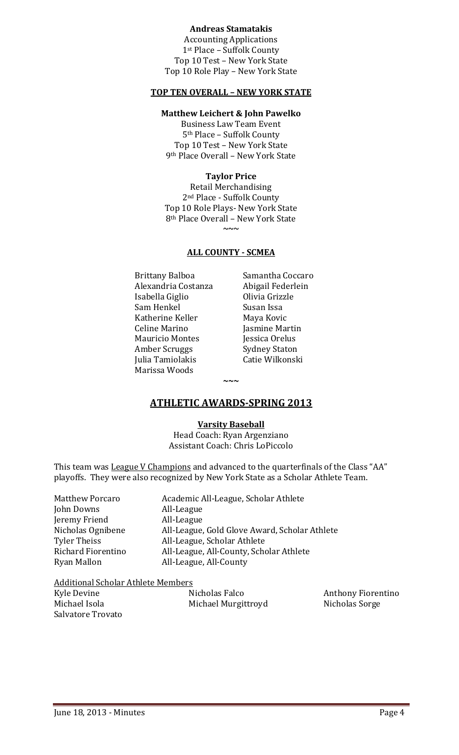#### **Andreas Stamatakis**

Accounting Applications 1st Place - Suffolk County Top 10 Test - New York State Top 10 Role Play - New York State

#### **TOP TEN OVERALL – NEW YORK STATE**

#### **Matthew Leichert & John Pawelko**

**Business Law Team Event** 5<sup>th</sup> Place - Suffolk County Top 10 Test - New York State 9<sup>th</sup> Place Overall - New York State

#### **Taylor Price**

Retail Merchandising 2<sup>nd</sup> Place - Suffolk County Top 10 Role Plays- New York State 8<sup>th</sup> Place Overall - New York State  $\sim$ 

#### **ALL COUNTY ‐ SCMEA**

Brittany Balboa **Samantha Coccaro** Alexandria Costanza **Abigail Federlein** Isabella Giglio **Chilla Chile Colivia Grizzle** Sam Henkel Susan Issa Katherine Keller **Maya Kovic** Celine Marino *Jasmine Martin* Mauricio Montes **Internatival Internatival** Jessica Orelus Amber Scruggs Sydney Staton Julia Tamiolakis **Catie Wilkonski**  Marissa Woods

#### **ATHLETIC AWARDS‐SPRING 2013**

**~~~**

#### **Varsity Baseball**

Head Coach: Ryan Argenziano Assistant Coach: Chris LoPiccolo

This team was League V Champions and advanced to the quarterfinals of the Class "AA" playoffs. They were also recognized by New York State as a Scholar Athlete Team.

| <b>Matthew Porcaro</b> | Academic All-League, Scholar Athlete          |
|------------------------|-----------------------------------------------|
| John Downs             | All-League                                    |
| Jeremy Friend          | All-League                                    |
| Nicholas Ognibene      | All-League, Gold Glove Award, Scholar Athlete |
| <b>Tyler Theiss</b>    | All-League, Scholar Athlete                   |
| Richard Fiorentino     | All-League, All-County, Scholar Athlete       |
| Ryan Mallon            | All-League, All-County                        |
|                        |                                               |

#### Additional Scholar Athlete Members

| Kyle Devine       | Nicholas Falco      | <b>Anthony Fiorentino</b> |
|-------------------|---------------------|---------------------------|
| Michael Isola     | Michael Murgittroyd | Nicholas Sorge            |
| Salvatore Trovato |                     |                           |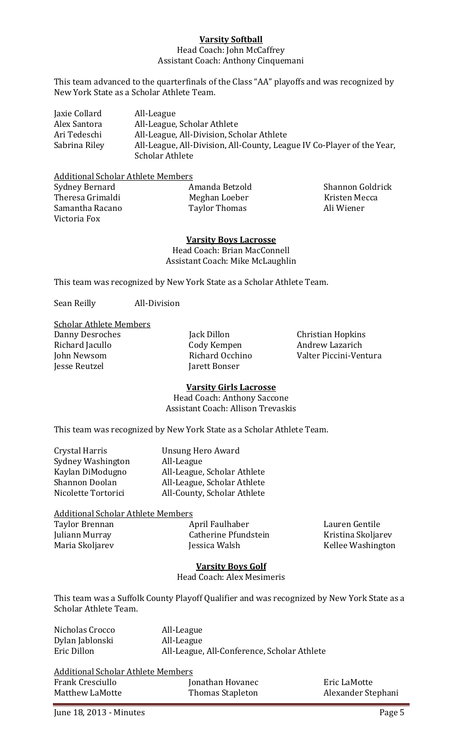#### **Varsity Softball**

#### Head Coach: John McCaffrey Assistant Coach: Anthony Cinquemani

This team advanced to the quarterfinals of the Class "AA" playoffs and was recognized by New York State as a Scholar Athlete Team.

Jaxie Collard **All-League** Alex Santora **All-League, Scholar Athlete** Ari Tedeschi All-League, All-Division, Scholar Athlete Sabrina Riley All-League, All-Division, All-County, League IV Co-Player of the Year, Scholar Athlete

**Additional Scholar Athlete Members** 

| Sydney Bernard   | Amanda Betzold | Shannon Goldrick |
|------------------|----------------|------------------|
| Theresa Grimaldi | Meghan Loeber  | Kristen Mecca    |
| Samantha Racano  | Taylor Thomas  | Ali Wiener       |
| Victoria Fox     |                |                  |

**Varsity Boys Lacrosse** Head Coach: Brian MacConnell Assistant Coach: Mike McLaughlin

This team was recognized by New York State as a Scholar Athlete Team.

Sean Reilly **All-Division** 

**Scholar Athlete Members** 

**Jesse Reutzel** *CONSERENT <b>IATEL CONSERENT <b>IATEL CONSERENT <b>IATEL CONSERENT* 

Danny Desroches Jack Dillon Christian Hopkins Richard Jacullo **Cody Kempen** Andrew Lazarich John Newsom **Brand Communist Communist Communist Communist Communist Communist Communist Communist Communist Communist Communist Communist Communist Communist Communist Communist Communist Communist Communist Communist Com** 

#### **Varsity Girls Lacrosse**

Head Coach: Anthony Saccone Assistant Coach: Allison Trevaskis

This team was recognized by New York State as a Scholar Athlete Team.

| Unsung Hero Award           |
|-----------------------------|
| All-League                  |
| All-League, Scholar Athlete |
| All-League, Scholar Athlete |
| All-County, Scholar Athlete |
|                             |

#### Additional Scholar Athlete Members

Taylor Brennan **Brennan** April Faulhaber *Lauren Gentile* Juliann Murray **Catherine Pfundstein Kristina Skoljarev** Maria Skoljarev **Brandes** *Jessica Walsh* **Communist Constanting Constanting Constanting Constanting Maria Skoliarev** 

#### **Varsity Boys Golf**

Head Coach: Alex Mesimeris 

This team was a Suffolk County Playoff Qualifier and was recognized by New York State as a Scholar Athlete Team.

| Nicholas Crocco | All-League                                  |
|-----------------|---------------------------------------------|
| Dylan Jablonski | All-League                                  |
| Eric Dillon     | All-League, All-Conference, Scholar Athlete |

| <b>Additional Scholar Athlete Members</b> |                  |                    |
|-------------------------------------------|------------------|--------------------|
| Frank Cresciullo                          | Jonathan Hovanec | Eric LaMotte       |
| Matthew LaMotte                           | Thomas Stapleton | Alexander Stephani |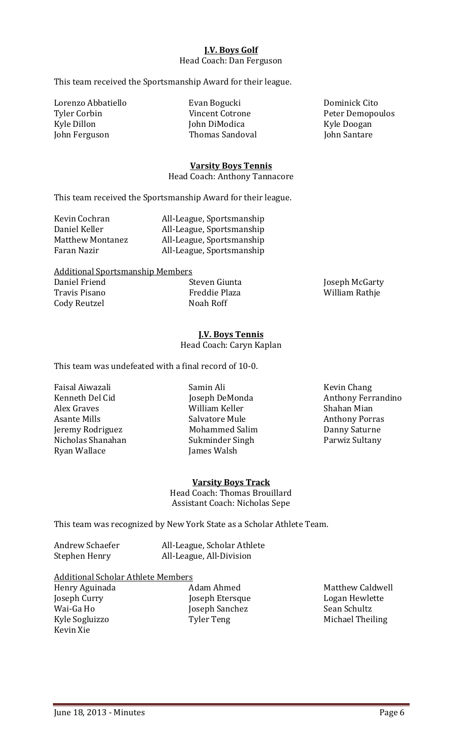#### **J.V. Boys Golf** Head Coach: Dan Ferguson

This team received the Sportsmanship Award for their league.

Lorenzo Abbatiello **Brand Bogucki Cito Dominick** Cito Tyler Corbin Tyler Corbin Vincent Cotrone Peter Demopoulos Kyle Dillon **Music Communist Communist Communist Communist Communist Communist Communist Communist Communist Communist Communist Communist Communist Communist Communist Communist Communist Communist Communist Communist Com** John Ferguson **Thomas** Sandoval **Income Sandoval** John Santare

#### **Varsity Boys Tennis**

Head Coach: Anthony Tannacore

This team received the Sportsmanship Award for their league.

| Kevin Cochran           | All-League, Sportsmanship |
|-------------------------|---------------------------|
| Daniel Keller           | All-League, Sportsmanship |
| <b>Matthew Montanez</b> | All-League, Sportsmanship |
| Faran Nazir             | All-League, Sportsmanship |

| <b>Additional Sportsmanship Members</b> |               |                |
|-----------------------------------------|---------------|----------------|
| Daniel Friend                           | Steven Giunta | Joseph McGarty |
| Travis Pisano                           | Freddie Plaza | William Rathje |
| Cody Reutzel                            | Noah Roff     |                |

**J.V. Boys Tennis** Head Coach: Caryn Kaplan

This team was undefeated with a final record of 10-0.

Faisal Aiwazali Samin Ali Kevin Chang Alex Graves *Milliam Keller* **Communisher** Shahan Mian Asante Mills **Salvatore Mule Anthony Porras** Jeremy Rodriguez **Mohammed Salim** Danny Saturne Nicholas Shanahan **Bang Sukminder** Singh **Bang Sultany Parwiz Sultany** Ryan Wallace *Iames Walsh* 

Kenneth Del Cid
(a)  $\sim$  Joseph DeMonda
(b) Anthony Ferrandino

#### **Varsity Boys Track**

Head Coach: Thomas Brouillard Assistant Coach: Nicholas Sepe

This team was recognized by New York State as a Scholar Athlete Team.

| Andrew Schaefer | All-League, Scholar Athlete |
|-----------------|-----------------------------|
| Stephen Henry   | All-League, All-Division    |

#### **Additional Scholar Athlete Members**

Wai-Ga Ho **Booking Communist Communist Communist Communist Communist Communist Communist Communist Communist Communist Communist Communist Communist Communist Communist Communist Communist Communist Communist Communist Com** Kevin Xie 

Henry Aguinada Adam Ahmed Matthew Caldwell Joseph Curry **Carry Communist Communist Communist Communist Communist Communist Communist Communist Communist Communist Communist Communist Communist Communist Communist Communist Communist Communist Communist Communist Co** Kyle Sogluizzo Tyler Teng Michael Theiling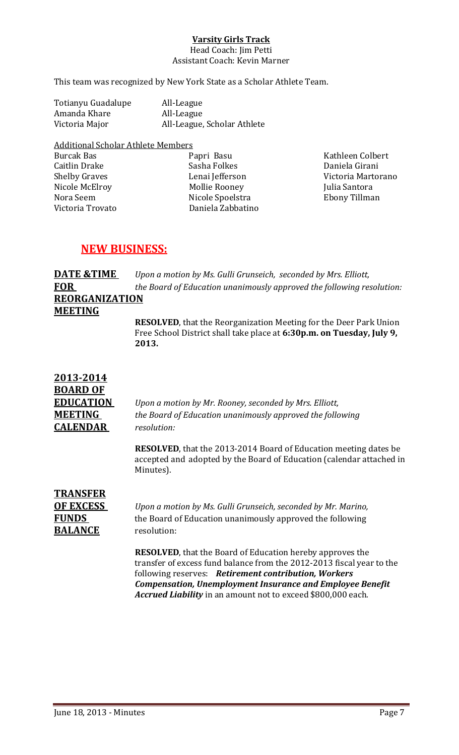#### **Varsity Girls Track**

Head Coach: Jim Petti Assistant Coach: Kevin Marner

This team was recognized by New York State as a Scholar Athlete Team.

| Totianyu Guadalupe | All-League                  |
|--------------------|-----------------------------|
| Amanda Khare       | All-League                  |
| Victoria Major     | All-League, Scholar Athlete |

**Additional Scholar Athlete Members** Burcak Bas **Burcak** Basu **Basu Rapri Basu Colpert** *Rathleen Colbert* Caitlin Drake Sasha Folkes Daniela Girani Shelby Graves **Branch Communist Communist Communist Communist Communist Communist Communist Communist Communist Communist Communist Communist Communist Communist Communist Communist Communist Communist Communist Communist** Nicole McElroy Mollie Rooney Julia Santora Victoria Trovato **Daniela** Zabbatino

Nicole Spoelstra **Brand** Ebony Tillman

#### **NEW BUSINESS:**

**DATE &TIME** *Upon a motion by Ms. Gulli Grunseich, seconded by Mrs. Elliott,*  **FOR**  *the Board of Education unanimously approved the following resolution:* **REORGANIZATION MEETING**

**RESOLVED**, that the Reorganization Meeting for the Deer Park Union Free School District shall take place at 6:30p.m. on Tuesday, July 9,  **2013.**

| 2013-2014        |                                                                                                                                                               |
|------------------|---------------------------------------------------------------------------------------------------------------------------------------------------------------|
| <b>BOARD OF</b>  |                                                                                                                                                               |
| <b>EDUCATION</b> | Upon a motion by Mr. Rooney, seconded by Mrs. Elliott,                                                                                                        |
| MEETING          | the Board of Education unanimously approved the following                                                                                                     |
| <b>CALENDAR</b>  | resolution:                                                                                                                                                   |
|                  | <b>RESOLVED</b> , that the 2013-2014 Board of Education meeting dates be<br>accepted and adopted by the Board of Education (calendar attached in<br>Minutes). |

**TRANSFER BALANCE** resolution:

**OF EXCESS** *Upon a motion by Ms. Gulli Grunseich, seconded by Mr. Marino,* **FUNDS** the Board of Education unanimously approved the following

> **RESOLVED**, that the Board of Education hereby approves the transfer of excess fund balance from the 2012-2013 fiscal year to the following reserves: Retirement contribution, Workers  *Compensation, Unemployment Insurance and Employee Benefit*  Accrued Liability in an amount not to exceed \$800,000 each.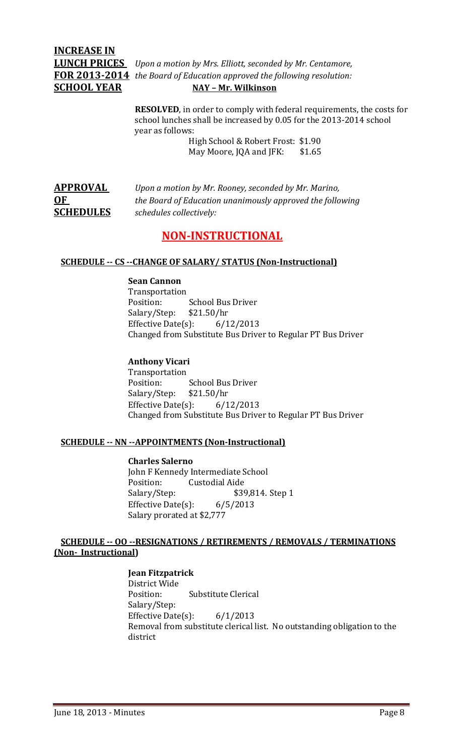# **INCREASE IN**

**LUNCH PRICES** *Upon a motion by Mrs. Elliott, seconded by Mr. Centamore,*  **FOR 2013‐2014** *the Board of Education approved the following resolution:* **SCHOOL YEAR****NAY – Mr. Wilkinson**

> **RESOLVED**, in order to comply with federal requirements, the costs for school lunches shall be increased by 0.05 for the 2013-2014 school year as follows:

> > High School & Robert Frost: \$1.90 May Moore, JQA and JFK: \$1.65

| <b>APPROVAL</b>  | Upon a motion by Mr. Rooney, seconded by Mr. Marino,      |
|------------------|-----------------------------------------------------------|
| 0 <sub>F</sub>   | the Board of Education unanimously approved the following |
| <b>SCHEDULES</b> | schedules collectively:                                   |

### **NON‐INSTRUCTIONAL**

#### **SCHEDULE ‐‐ CS ‐‐CHANGE OF SALARY/ STATUS (Non‐Instructional)**

#### **Sean Cannon**

 Transportation Position: School Bus Driver Salary/Step: \$21.50/hr Effective Date $(s)$ : 6/12/2013 Changed from Substitute Bus Driver to Regular PT Bus Driver

#### **Anthony Vicari**

 Transportation Position: School Bus Driver Salary/Step: \$21.50/hr Effective Date(s):  $6/12/2013$ Changed from Substitute Bus Driver to Regular PT Bus Driver

#### **SCHEDULE ‐‐ NN ‐‐APPOINTMENTS (Non‐Instructional)**

#### **Charles Salerno**

John F Kennedy Intermediate School Position: Custodial Aide Salary/Step: \$39,814. Step 1 Effective Date(s):  $6/5/2013$ Salary prorated at \$2,777

#### **SCHEDULE ‐‐ OO ‐‐RESIGNATIONS / RETIREMENTS / REMOVALS / TERMINATIONS (Non‐ Instructional)**

#### **Jean Fitzpatrick**

District Wide Position: Substitute Clerical Salary/Step: Effective Date(s):  $6/1/2013$ Removal from substitute clerical list. No outstanding obligation to the district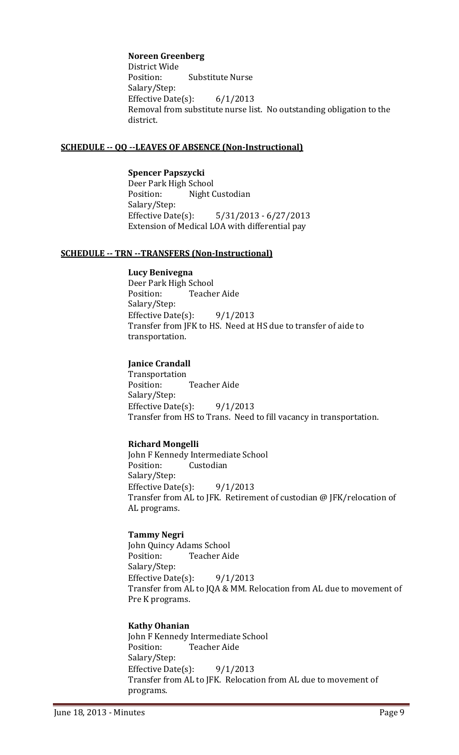#### **Noreen Greenberg**

District Wide Position: Substitute Nurse Salary/Step: Effective Date(s):  $6/1/2013$ Removal from substitute nurse list. No outstanding obligation to the district.

#### **SCHEDULE ‐‐ QQ ‐‐LEAVES OF ABSENCE (Non‐Instructional)**

**Spencer Papszycki** Deer Park High School Position: Night Custodian Salary/Step: Effective Date(s):  $5/31/2013 - 6/27/2013$ Extension of Medical LOA with differential pay

#### **SCHEDULE ‐‐ TRN ‐‐TRANSFERS (Non‐Instructional)**

#### **Lucy Benivegna**

Deer Park High School Position: Teacher Aide Salary/Step: Effective Date(s):  $9/1/2013$ Transfer from JFK to HS. Need at HS due to transfer of aide to transportation.

#### **Janice Crandall**

 Transportation Position: Teacher Aide Salary/Step: Effective Date(s):  $9/1/2013$ Transfer from HS to Trans. Need to fill vacancy in transportation.

#### **Richard Mongelli**

John F Kennedy Intermediate School Position: Custodian Salary/Step: Effective Date(s):  $9/1/2013$ Transfer from AL to JFK. Retirement of custodian @ JFK/relocation of AL programs.

#### **Tammy Negri**

John Quincy Adams School Position: Teacher Aide Salary/Step: Effective Date(s):  $9/1/2013$ Transfer from AL to JQA & MM. Relocation from AL due to movement of Pre K programs.

#### **Kathy Ohanian**

John F Kennedy Intermediate School Position: Teacher Aide Salary/Step: Effective Date(s):  $9/1/2013$ Transfer from AL to JFK. Relocation from AL due to movement of programs.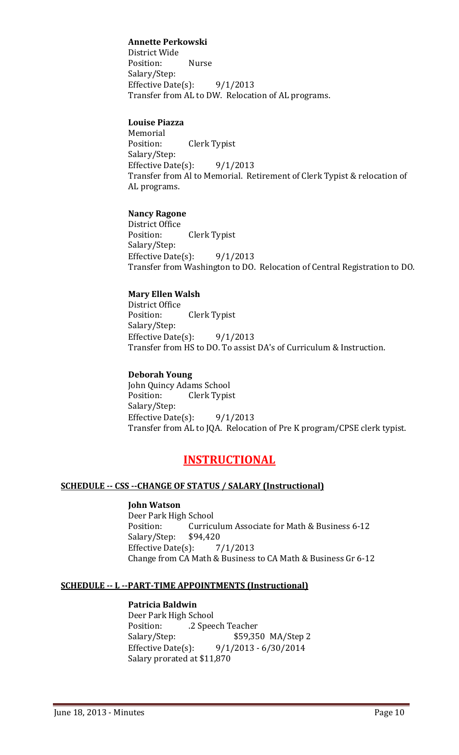#### **Annette Perkowski**

District Wide Position: Nurse Salary/Step: Effective Date(s):  $9/1/2013$ Transfer from AL to DW. Relocation of AL programs.

#### **Louise Piazza**

 Memorial Position: Clerk Typist Salary/Step: Effective Date(s):  $9/1/2013$ Transfer from Al to Memorial. Retirement of Clerk Typist & relocation of AL programs.

#### **Nancy Ragone**

District Office Position: Clerk Typist Salary/Step: Effective Date(s):  $9/1/2013$ Transfer from Washington to DO. Relocation of Central Registration to DO.

#### **Mary Ellen Walsh**

District Office Position: Clerk Typist Salary/Step: Effective Date(s):  $9/1/2013$ Transfer from HS to DO. To assist DA's of Curriculum & Instruction.

#### **Deborah Young**

John Quincy Adams School Position: Clerk Typist Salary/Step: Effective Date(s):  $9/1/2013$ Transfer from AL to JQA. Relocation of Pre K program/CPSE clerk typist.

#### **INSTRUCTIONAL**

#### **SCHEDULE ‐‐ CSS ‐‐CHANGE OF STATUS / SALARY (Instructional)**

#### **John Watson**

Deer Park High School Position: Curriculum Associate for Math & Business 6-12 Salary/Step: \$94,420 Effective Date(s):  $7/1/2013$ Change from CA Math & Business to CA Math & Business Gr 6-12

#### **SCHEDULE ‐‐ L ‐‐PART‐TIME APPOINTMENTS (Instructional)**

#### **Patricia Baldwin**

Deer Park High School Position: 2 Speech Teacher Salary/Step:  $$59,350$  MA/Step 2 Effective Date(s):  $9/1/2013 - 6/30/2014$ Salary prorated at \$11,870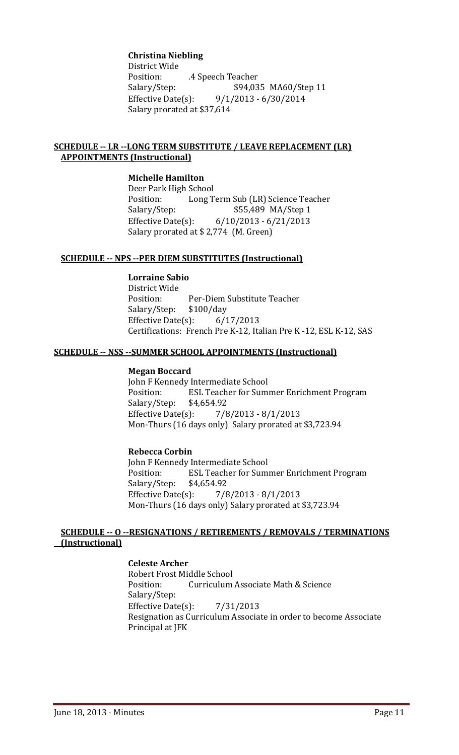#### **Christina Niebling**

District Wide Position: **.4** Speech Teacher Salary/Step: \$94,035 MA60/Step 11 Effective Date(s):  $9/1/2013 - 6/30/2014$ Salary prorated at \$37,614

#### **SCHEDULE ‐‐ LR ‐‐LONG TERM SUBSTITUTE / LEAVE REPLACEMENT (LR) APPOINTMENTS (Instructional)**

#### **Michelle Hamilton**

Deer Park High School Position: Long Term Sub (LR) Science Teacher Salary/Step:  $$55,489$  MA/Step 1 Effective Date(s):  $6/10/2013 - 6/21/2013$ Salary prorated at \$2,774 (M. Green)

#### **SCHEDULE ‐‐ NPS ‐‐PER DIEM SUBSTITUTES (Instructional)**

#### **Lorraine Sabio**

District Wide Position: Per-Diem Substitute Teacher Salary/Step: \$100/day Effective Date $(s)$ : 6/17/2013 Certifications: French Pre K-12, Italian Pre K-12, ESL K-12, SAS

#### **SCHEDULE ‐‐ NSS ‐‐SUMMER SCHOOL APPOINTMENTS (Instructional)**

#### **Megan Boccard**

John F Kennedy Intermediate School Position: ESL Teacher for Summer Enrichment Program Salary/Step: \$4,654.92 Effective Date(s):  $\frac{7}{8}/\frac{2013 - 8}{1}/\frac{2013}{1}$ Mon-Thurs (16 days only) Salary prorated at \$3,723.94

#### **Rebecca Corbin**

John F Kennedy Intermediate School Position: ESL Teacher for Summer Enrichment Program Salary/Step: \$4,654.92 Effective Date(s):  $\frac{7}{8}/\frac{2013 - 8}{1}/\frac{2013}{1}$ Mon-Thurs (16 days only) Salary prorated at \$3,723.94

#### **SCHEDULE ‐‐ O ‐‐RESIGNATIONS / RETIREMENTS / REMOVALS / TERMINATIONS (Instructional)**

#### **Celeste Archer**

Robert Frost Middle School Position: Curriculum Associate Math & Science Salary/Step: Effective Date $(s)$ : 7/31/2013 Resignation as Curriculum Associate in order to become Associate Principal at JFK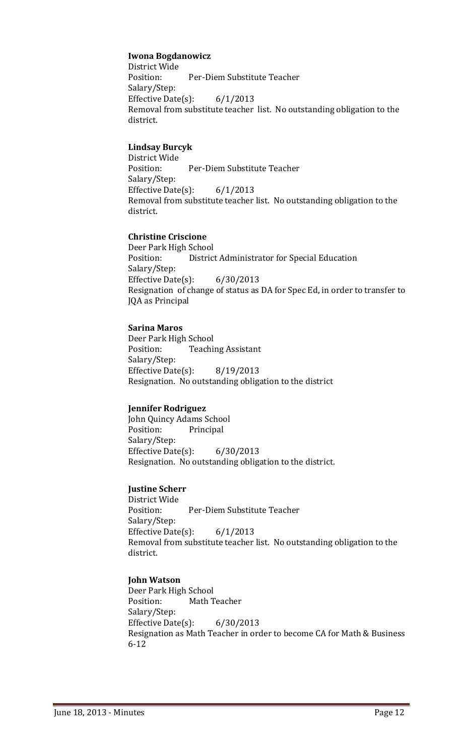#### **Iwona Bogdanowicz**

District Wide Position: Per-Diem Substitute Teacher Salary/Step: Effective Date(s):  $6/1/2013$ Removal from substitute teacher list. No outstanding obligation to the district.

#### **Lindsay Burcyk**

District Wide Position: Per-Diem Substitute Teacher Salary/Step: Effective Date(s):  $6/1/2013$ Removal from substitute teacher list. No outstanding obligation to the district.

#### **Christine Criscione**

Deer Park High School Position: District Administrator for Special Education Salary/Step: Effective Date(s):  $6/30/2013$ Resignation of change of status as DA for Spec Ed, in order to transfer to JQA as Principal

#### **Sarina Maros**

Deer Park High School Position: Teaching Assistant Salary/Step: Effective Date(s):  $8/19/2013$ Resignation. No outstanding obligation to the district

#### **Jennifer Rodriguez**

John Quincy Adams School Position: Principal Salary/Step: Effective Date $(s)$ : 6/30/2013 Resignation. No outstanding obligation to the district.

#### **Justine Scherr**

District Wide Position: Per-Diem Substitute Teacher Salary/Step: Effective Date(s):  $6/1/2013$ Removal from substitute teacher list. No outstanding obligation to the district.

#### **John Watson**

Deer Park High School Position: Math Teacher Salary/Step: Effective Date(s):  $6/30/2013$ Resignation as Math Teacher in order to become CA for Math & Business 6‐12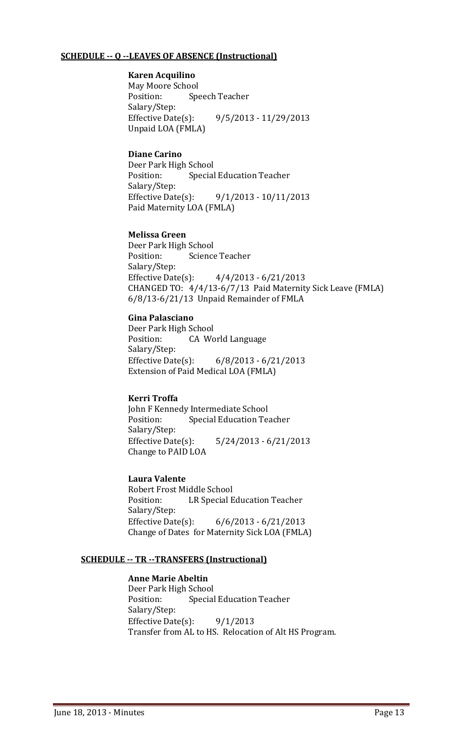#### **SCHEDULE ‐‐ Q ‐‐LEAVES OF ABSENCE (Instructional)**

#### **Karen Acquilino**

May Moore School Position: Speech Teacher Salary/Step: Effective Date(s):  $9/5/2013 - 11/29/2013$ Unpaid LOA (FMLA)

#### **Diane Carino**

Deer Park High School Position: Special Education Teacher Salary/Step: Effective Date(s):  $9/1/2013 - 10/11/2013$ Paid Maternity LOA (FMLA)

#### **Melissa Green**

Deer Park High School Position: Science Teacher Salary/Step: Effective Date(s):  $4/4/2013 - 6/21/2013$ CHANGED TO: 4/4/13-6/7/13 Paid Maternity Sick Leave (FMLA)  $6/8/13-6/21/13$  Unpaid Remainder of FMLA

#### **Gina Palasciano**

Deer Park High School Position: CA World Language Salary/Step: Effective Date(s):  $6/8/2013 - 6/21/2013$ Extension of Paid Medical LOA (FMLA)

#### **Kerri Troffa**

John F Kennedy Intermediate School Position: Special Education Teacher Salary/Step: Effective Date(s):  $5/24/2013 - 6/21/2013$ Change to PAID LOA

#### **Laura Valente**

Robert Frost Middle School Position: LR Special Education Teacher Salary/Step: Effective Date(s):  $6/6/2013 - 6/21/2013$ Change of Dates for Maternity Sick LOA (FMLA)

#### **SCHEDULE ‐‐ TR ‐‐TRANSFERS (Instructional)**

#### **Anne Marie Abeltin**

Deer Park High School Position: Special Education Teacher Salary/Step: Effective Date(s):  $9/1/2013$ Transfer from AL to HS. Relocation of Alt HS Program.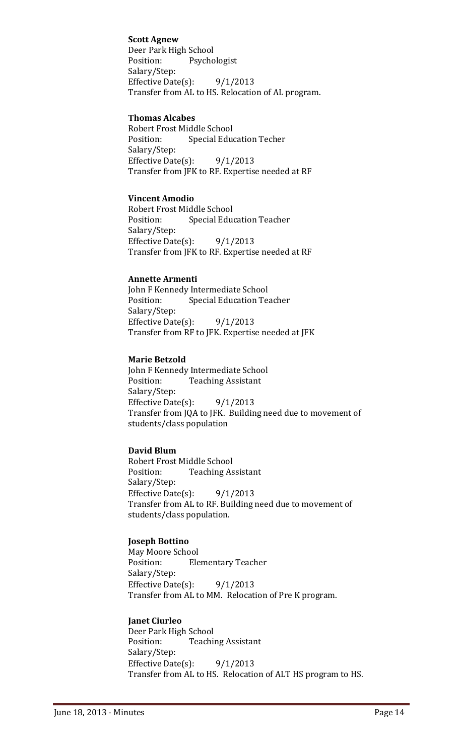#### **Scott Agnew**

Deer Park High School Position: Psychologist Salary/Step: Effective Date(s):  $9/1/2013$ Transfer from AL to HS. Relocation of AL program.

#### **Thomas Alcabes**

Robert Frost Middle School Position: Special Education Techer Salary/Step: Effective Date(s):  $9/1/2013$ Transfer from JFK to RF. Expertise needed at RF

#### **Vincent Amodio**

Robert Frost Middle School Position: Special Education Teacher Salary/Step: Effective Date(s):  $9/1/2013$ Transfer from JFK to RF. Expertise needed at RF

#### **Annette Armenti**

John F Kennedy Intermediate School Position: Special Education Teacher Salary/Step: Effective Date(s):  $9/1/2013$ Transfer from RF to JFK. Expertise needed at JFK

#### **Marie Betzold**

John F Kennedy Intermediate School Position: Teaching Assistant Salary/Step: Effective Date(s):  $9/1/2013$ Transfer from JQA to JFK. Building need due to movement of students/class population

#### **David Blum**

Robert Frost Middle School Position: Teaching Assistant Salary/Step: Effective Date(s):  $9/1/2013$ Transfer from AL to RF. Building need due to movement of students/class population.

#### **Joseph Bottino**

May Moore School Position: Elementary Teacher Salary/Step: Effective Date(s):  $9/1/2013$ Transfer from AL to MM. Relocation of Pre K program.

#### **Janet Ciurleo**

Deer Park High School Position: Teaching Assistant Salary/Step: Effective Date(s):  $9/1/2013$ Transfer from AL to HS. Relocation of ALT HS program to HS.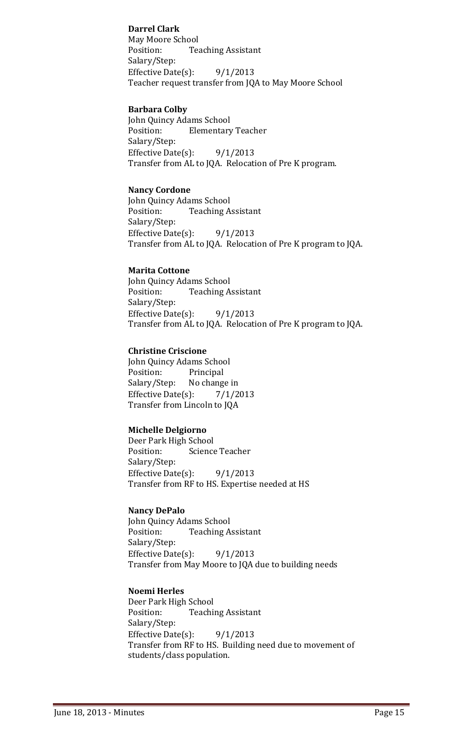#### **Darrel Clark**

May Moore School Position: Teaching Assistant Salary/Step: Effective Date(s):  $9/1/2013$ Teacher request transfer from JQA to May Moore School

#### **Barbara Colby**

John Quincy Adams School Position: Elementary Teacher Salary/Step: Effective Date(s):  $9/1/2013$ Transfer from AL to JQA. Relocation of Pre K program.

#### **Nancy Cordone**

John Quincy Adams School Position: Teaching Assistant Salary/Step: Effective Date(s):  $9/1/2013$ Transfer from AL to JQA. Relocation of Pre K program to JQA.

#### **Marita Cottone**

 John Quincy Adams School Position: Teaching Assistant Salary/Step: Effective Date(s):  $9/1/2013$ Transfer from AL to JQA. Relocation of Pre K program to JQA.

#### **Christine Criscione**

John Quincy Adams School Position: Principal Salary/Step: No change in Effective Date(s):  $\frac{7}{1/2013}$ Transfer from Lincoln to JQA

#### **Michelle Delgiorno**

Deer Park High School Position: Science Teacher Salary/Step: Effective Date(s):  $9/1/2013$ Transfer from RF to HS. Expertise needed at HS

#### **Nancy DePalo**

John Quincy Adams School Position: Teaching Assistant Salary/Step: Effective Date(s):  $9/1/2013$ Transfer from May Moore to JQA due to building needs

#### **Noemi Herles**

Deer Park High School Position: Teaching Assistant Salary/Step: Effective Date(s):  $9/1/2013$ Transfer from RF to HS. Building need due to movement of students/class population.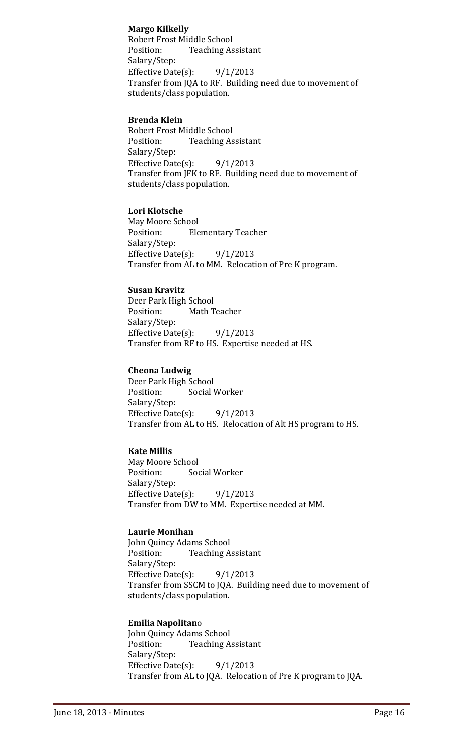#### **Margo Kilkelly**

Robert Frost Middle School Position: Teaching Assistant Salary/Step: Effective Date(s):  $9/1/2013$ Transfer from JQA to RF. Building need due to movement of students/class population.

#### **Brenda Klein**

Robert Frost Middle School Position: Teaching Assistant Salary/Step: Effective Date(s):  $9/1/2013$ Transfer from JFK to RF. Building need due to movement of students/class population.

#### **Lori Klotsche**

May Moore School Position: Elementary Teacher Salary/Step: Effective Date(s):  $9/1/2013$ Transfer from AL to MM. Relocation of Pre K program.

#### **Susan Kravitz**

Deer Park High School Position: Math Teacher Salary/Step: Effective Date(s):  $9/1/2013$ Transfer from RF to HS. Expertise needed at HS.

#### **Cheona Ludwig**

Deer Park High School Position: Social Worker Salary/Step: Effective Date(s):  $9/1/2013$ Transfer from AL to HS. Relocation of Alt HS program to HS.

#### **Kate Millis**

May Moore School Position: Social Worker Salary/Step: Effective Date(s):  $9/1/2013$ Transfer from DW to MM. Expertise needed at MM.

#### **Laurie Monihan**

John Quincy Adams School Position: Teaching Assistant Salary/Step: Effective Date(s):  $9/1/2013$ Transfer from SSCM to JQA. Building need due to movement of students/class population.

#### **Emilia Napolitan**o

John Quincy Adams School Position: Teaching Assistant Salary/Step: Effective Date(s):  $9/1/2013$ Transfer from AL to JQA. Relocation of Pre K program to JQA.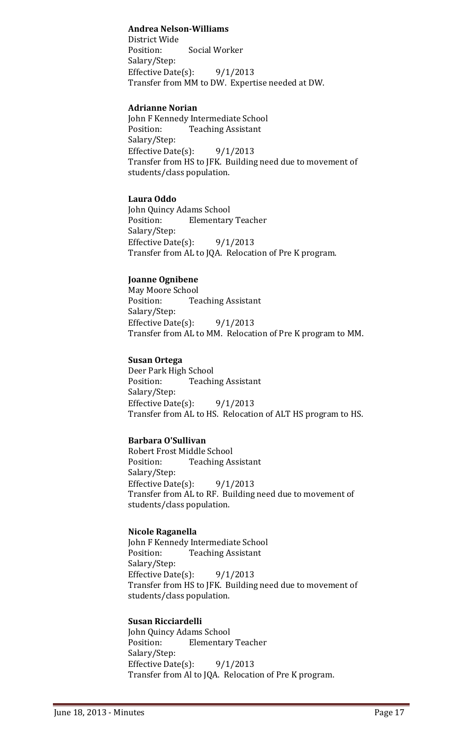#### **Andrea Nelson‐Williams**

District Wide Position: Social Worker Salary/Step: Effective Date(s):  $9/1/2013$ Transfer from MM to DW. Expertise needed at DW.

#### **Adrianne Norian**

John F Kennedy Intermediate School Position: Teaching Assistant Salary/Step: Effective Date(s):  $9/1/2013$ Transfer from HS to JFK. Building need due to movement of students/class population.

#### **Laura Oddo**

John Quincy Adams School Position: Elementary Teacher Salary/Step: Effective Date(s):  $9/1/2013$ Transfer from AL to JQA. Relocation of Pre K program.

#### **Joanne Ognibene**

May Moore School Position: Teaching Assistant Salary/Step: Effective Date(s):  $9/1/2013$ Transfer from AL to MM. Relocation of Pre K program to MM.

#### **Susan Ortega**

Deer Park High School Position: Teaching Assistant Salary/Step: Effective Date(s):  $9/1/2013$ Transfer from AL to HS. Relocation of ALT HS program to HS.

#### **Barbara O'Sullivan**

Robert Frost Middle School Position: Teaching Assistant Salary/Step: Effective Date(s):  $9/1/2013$ Transfer from AL to RF. Building need due to movement of students/class population.

#### **Nicole Raganella**

John F Kennedy Intermediate School Position: Teaching Assistant Salary/Step: Effective Date(s):  $9/1/2013$ Transfer from HS to JFK. Building need due to movement of students/class population.

#### **Susan Ricciardelli**

John Quincy Adams School Position: Elementary Teacher Salary/Step: Effective Date(s):  $9/1/2013$ Transfer from Al to JQA. Relocation of Pre K program.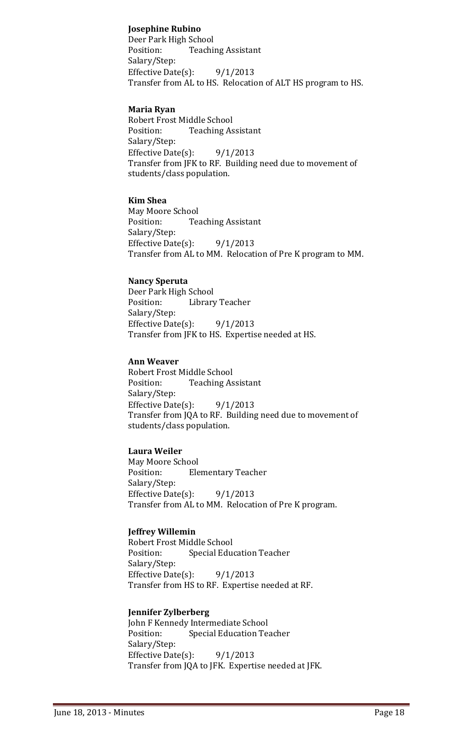#### **Josephine Rubino**

Deer Park High School Position: Teaching Assistant Salary/Step: Effective Date(s):  $9/1/2013$ Transfer from AL to HS. Relocation of ALT HS program to HS.

#### **Maria Ryan**

Robert Frost Middle School Position: Teaching Assistant Salary/Step: Effective Date(s):  $9/1/2013$ Transfer from JFK to RF. Building need due to movement of students/class population.

#### **Kim Shea**

May Moore School Position: Teaching Assistant Salary/Step: Effective Date(s):  $9/1/2013$ Transfer from AL to MM. Relocation of Pre K program to MM.

#### **Nancy Speruta**

Deer Park High School Position: Library Teacher Salary/Step: Effective Date(s):  $9/1/2013$ Transfer from JFK to HS. Expertise needed at HS.

#### **Ann Weaver**

Robert Frost Middle School Position: Teaching Assistant Salary/Step: Effective Date(s):  $9/1/2013$ Transfer from JQA to RF. Building need due to movement of students/class population.

#### **Laura Weiler**

May Moore School Position: Elementary Teacher Salary/Step: Effective Date(s):  $9/1/2013$ Transfer from AL to MM. Relocation of Pre K program.

#### **Jeffrey Willemin**

Robert Frost Middle School Position: Special Education Teacher Salary/Step: Effective Date(s):  $9/1/2013$ Transfer from HS to RF. Expertise needed at RF.

#### **Jennifer Zylberberg**

John F Kennedy Intermediate School Position: Special Education Teacher Salary/Step: Effective Date(s):  $9/1/2013$ Transfer from JQA to JFK. Expertise needed at JFK.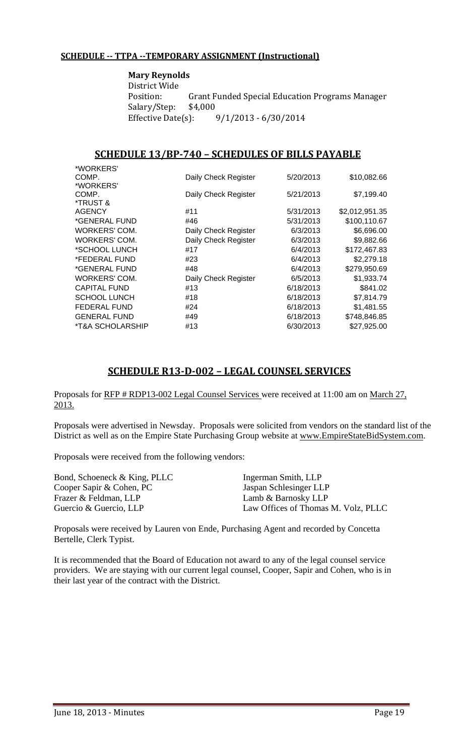#### **SCHEDULE ‐‐ TTPA ‐‐TEMPORARY ASSIGNMENT (Instructional)**

**Mary Reynolds** District Wide Position: Grant Funded Special Education Programs Manager Salary/Step: \$4,000 Effective Date(s):  $9/1/2013 - 6/30/2014$ 

#### **SCHEDULE 13/BP‐740 – SCHEDULES OF BILLS PAYABLE**

| *WORKERS'           |                      |           |                |
|---------------------|----------------------|-----------|----------------|
| COMP.               | Daily Check Register | 5/20/2013 | \$10,082.66    |
| *WORKERS'           |                      |           |                |
| COMP.               | Daily Check Register | 5/21/2013 | \$7,199.40     |
| *TRUST &            |                      |           |                |
| AGENCY              | #11                  | 5/31/2013 | \$2,012,951.35 |
| *GENERAL FUND       | #46                  | 5/31/2013 | \$100,110.67   |
| WORKERS' COM.       | Daily Check Register | 6/3/2013  | \$6,696.00     |
| WORKERS' COM.       | Daily Check Register | 6/3/2013  | \$9,882.66     |
| *SCHOOL LUNCH       | #17                  | 6/4/2013  | \$172,467.83   |
| *FEDERAL FUND       | #23                  | 6/4/2013  | \$2,279.18     |
| *GENERAL FUND       | #48                  | 6/4/2013  | \$279,950.69   |
| WORKERS' COM.       | Daily Check Register | 6/5/2013  | \$1,933.74     |
| <b>CAPITAL FUND</b> | #13                  | 6/18/2013 | \$841.02       |
| <b>SCHOOL LUNCH</b> | #18                  | 6/18/2013 | \$7,814.79     |
| <b>FEDERAL FUND</b> | #24                  | 6/18/2013 | \$1,481.55     |
| <b>GENERAL FUND</b> | #49                  | 6/18/2013 | \$748,846.85   |
| *T&A SCHOLARSHIP    | #13                  | 6/30/2013 | \$27,925.00    |
|                     |                      |           |                |

#### **SCHEDULE R13‐D‐002 – LEGAL COUNSEL SERVICES**

Proposals for RFP # RDP13-002 Legal Counsel Services were received at 11:00 am on March 27, 2013.

Proposals were advertised in Newsday. Proposals were solicited from vendors on the standard list of the District as well as on the Empire State Purchasing Group website at www.EmpireStateBidSystem.com.

Proposals were received from the following vendors:

| Bond, Schoeneck & King, PLLC | Ingerman Smith, LLP                 |
|------------------------------|-------------------------------------|
| Cooper Sapir & Cohen, PC     | Jaspan Schlesinger LLP              |
| Frazer & Feldman, LLP        | Lamb & Barnosky LLP                 |
| Guercio & Guercio, LLP       | Law Offices of Thomas M. Volz, PLLC |

Proposals were received by Lauren von Ende, Purchasing Agent and recorded by Concetta Bertelle, Clerk Typist.

It is recommended that the Board of Education not award to any of the legal counsel service providers. We are staying with our current legal counsel, Cooper, Sapir and Cohen, who is in their last year of the contract with the District.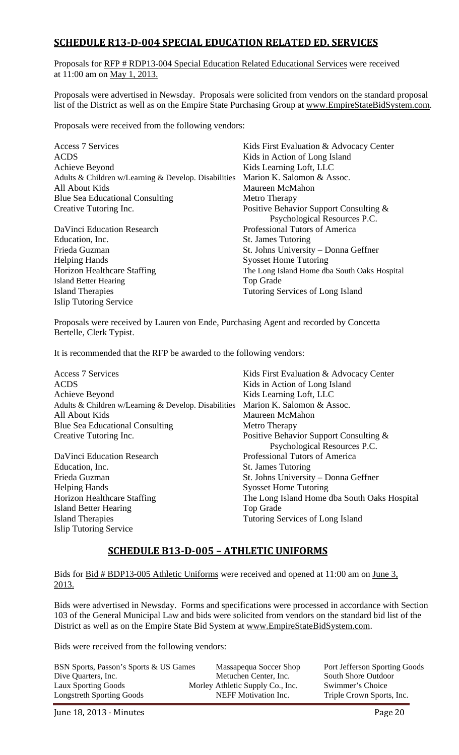#### **SCHEDULE R13‐D‐004 SPECIAL EDUCATION RELATED ED. SERVICES**

Proposals for RFP # RDP13-004 Special Education Related Educational Services were received at 11:00 am on May 1, 2013.

Proposals were advertised in Newsday. Proposals were solicited from vendors on the standard proposal list of the District as well as on the Empire State Purchasing Group at www.EmpireStateBidSystem.com.

Proposals were received from the following vendors:

| Kids First Evaluation & Advocacy Center<br>Kids in Action of Long Island<br>Kids Learning Loft, LLC |
|-----------------------------------------------------------------------------------------------------|
| Marion K. Salomon & Assoc.                                                                          |
| Maureen McMahon                                                                                     |
| Metro Therapy                                                                                       |
| Positive Behavior Support Consulting &                                                              |
| Psychological Resources P.C.                                                                        |
| Professional Tutors of America                                                                      |
| <b>St. James Tutoring</b>                                                                           |
| St. Johns University – Donna Geffner                                                                |
| <b>Syosset Home Tutoring</b>                                                                        |
| The Long Island Home dba South Oaks Hospital                                                        |
| Top Grade                                                                                           |
| Tutoring Services of Long Island                                                                    |
|                                                                                                     |
|                                                                                                     |

Proposals were received by Lauren von Ende, Purchasing Agent and recorded by Concetta Bertelle, Clerk Typist.

It is recommended that the RFP be awarded to the following vendors:

| <b>Access 7 Services</b>                             | K            |
|------------------------------------------------------|--------------|
| <b>ACDS</b>                                          | K            |
| Achieve Beyond                                       | K            |
| Adults & Children w/Learning & Develop. Disabilities | $\mathbf{N}$ |
| All About Kids                                       | N            |
| <b>Blue Sea Educational Consulting</b>               | N            |
| Creative Tutoring Inc.                               | P            |
|                                                      |              |

Education, Inc. St. James Tutoring Helping Hands Syosset Home Tutoring Island Better Hearing Top Grade Island Therapies Tutoring Services of Long Island Islip Tutoring Service

**Kids First Evaluation & Advocacy Center Kids in Action of Long Island Kids Learning Loft, LLC** Aarion K. Salomon & Assoc. Aaureen McMahon *Aetro Therapy* ositive Behavior Support Consulting & Psychological Resources P.C. DaVinci Education Research Professional Tutors of America Frieda Guzman St. Johns University – Donna Geffner Horizon Healthcare Staffing The Long Island Home dba South Oaks Hospital

#### **SCHEDULE B13‐D‐005 – ATHLETIC UNIFORMS**

Bids for <u>Bid # BDP13-005 Athletic Uniforms</u> were received and opened at 11:00 am on June 3, 2013.

Bids were advertised in Newsday. Forms and specifications were processed in accordance with Section 103 of the General Municipal Law and bids were solicited from vendors on the standard bid list of the District as well as on the Empire State Bid System at www.EmpireStateBidSystem.com.

Bids were received from the following vendors:

| BSN Sports, Passon's Sports & US Games | Massapequa Soccer Shop           | Port Jefferson Sporting Goods |
|----------------------------------------|----------------------------------|-------------------------------|
| Dive Quarters, Inc.                    | Metuchen Center, Inc.            | South Shore Outdoor           |
| Laux Sporting Goods                    | Morley Athletic Supply Co., Inc. | Swimmer's Choice              |
| <b>Longstreth Sporting Goods</b>       | NEFF Motivation Inc.             | Triple Crown Sports, Inc.     |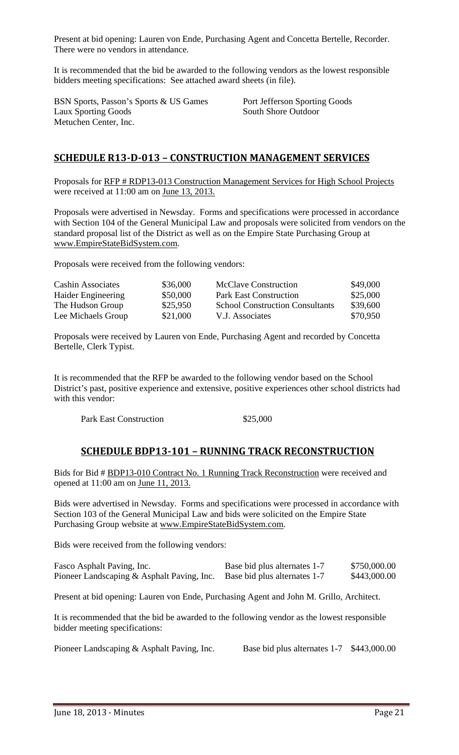Present at bid opening: Lauren von Ende, Purchasing Agent and Concetta Bertelle, Recorder. There were no vendors in attendance.

It is recommended that the bid be awarded to the following vendors as the lowest responsible bidders meeting specifications: See attached award sheets (in file).

BSN Sports, Passon's Sports & US Games Port Jefferson Sporting Goods Laux Sporting Goods South Shore Outdoor Metuchen Center, Inc.

#### **SCHEDULE R13‐D‐013 – CONSTRUCTION MANAGEMENT SERVICES**

Proposals for RFP # RDP13-013 Construction Management Services for High School Projects were received at 11:00 am on June 13, 2013.

Proposals were advertised in Newsday. Forms and specifications were processed in accordance with Section 104 of the General Municipal Law and proposals were solicited from vendors on the standard proposal list of the District as well as on the Empire State Purchasing Group at www.EmpireStateBidSystem.com.

Proposals were received from the following vendors:

| <b>Cashin Associates</b> | \$36,000 | <b>McClave Construction</b>            | \$49,000 |
|--------------------------|----------|----------------------------------------|----------|
| Haider Engineering       | \$50,000 | <b>Park East Construction</b>          | \$25,000 |
| The Hudson Group         | \$25,950 | <b>School Construction Consultants</b> | \$39,600 |
| Lee Michaels Group       | \$21,000 | V.J. Associates                        | \$70,950 |

Proposals were received by Lauren von Ende, Purchasing Agent and recorded by Concetta Bertelle, Clerk Typist.

It is recommended that the RFP be awarded to the following vendor based on the School District's past, positive experience and extensive, positive experiences other school districts had with this vendor:

Park East Construction \$25,000

#### **SCHEDULE BDP13‐101 – RUNNING TRACK RECONSTRUCTION**

Bids for Bid # BDP13-010 Contract No. 1 Running Track Reconstruction were received and opened at 11:00 am on June 11, 2013.

Bids were advertised in Newsday. Forms and specifications were processed in accordance with Section 103 of the General Municipal Law and bids were solicited on the Empire State Purchasing Group website at www.EmpireStateBidSystem.com.

Bids were received from the following vendors:

| Fasco Asphalt Paving, Inc.                 | Base bid plus alternates 1-7 | \$750,000.00 |
|--------------------------------------------|------------------------------|--------------|
| Pioneer Landscaping & Asphalt Paving, Inc. | Base bid plus alternates 1-7 | \$443,000.00 |

Present at bid opening: Lauren von Ende, Purchasing Agent and John M. Grillo, Architect.

It is recommended that the bid be awarded to the following vendor as the lowest responsible bidder meeting specifications:

Pioneer Landscaping & Asphalt Paving, Inc. Base bid plus alternates 1-7 \$443,000.00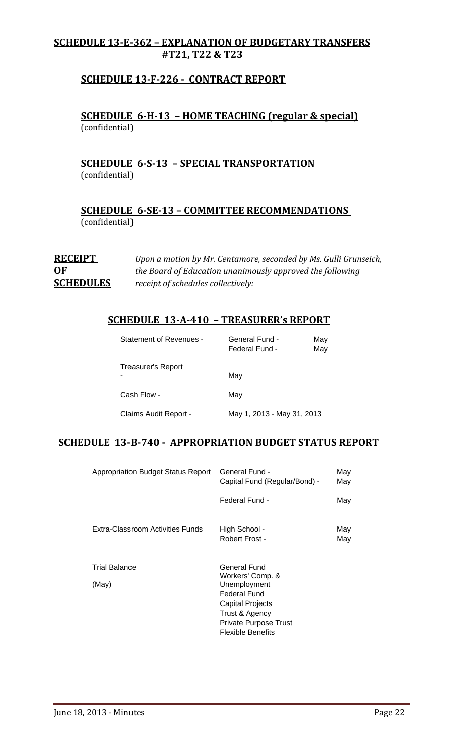#### **SCHEDULE 13‐E‐362 – EXPLANATION OF BUDGETARY TRANSFERS #T21, T22 & T23**

#### **SCHEDULE 13‐F‐226 ‐ CONTRACT REPORT**

#### **SCHEDULE 6‐H‐13 – HOME TEACHING (regular & special)** (confidential)

#### **SCHEDULE 6‐S‐13 – SPECIAL TRANSPORTATION** (confidential)

**SCHEDULE 6‐SE‐13 – COMMITTEE RECOMMENDATIONS** (confidential**)**

**RECEIPT** *Upon a motion by Mr. Centamore, seconded by Ms. Gulli Grunseich,* **<u>OF**</u> *the Board of Education unanimously approved the following* **SCHEDULES** *receipt of schedules collectively:*

#### **SCHEDULE 13‐A‐410 – TREASURER's REPORT**

| Statement of Revenues -   | General Fund -<br>Federal Fund - | May<br>May |
|---------------------------|----------------------------------|------------|
| <b>Treasurer's Report</b> | May                              |            |
| Cash Flow -               | May                              |            |
| Claims Audit Report -     | May 1, 2013 - May 31, 2013       |            |

#### **SCHEDULE 13‐B‐740 ‐ APPROPRIATION BUDGET STATUS REPORT**

| <b>Appropriation Budget Status Report</b> | General Fund -<br>Capital Fund (Regular/Bond) -                                                                                | May<br>May |
|-------------------------------------------|--------------------------------------------------------------------------------------------------------------------------------|------------|
|                                           | Federal Fund -                                                                                                                 | May        |
| Extra-Classroom Activities Funds          | High School -<br>Robert Frost -                                                                                                | May<br>May |
| <b>Trial Balance</b>                      | General Fund<br>Workers' Comp. &                                                                                               |            |
| (May)                                     | Unemployment<br><b>Federal Fund</b><br>Capital Projects<br>Trust & Agency<br>Private Purpose Trust<br><b>Flexible Benefits</b> |            |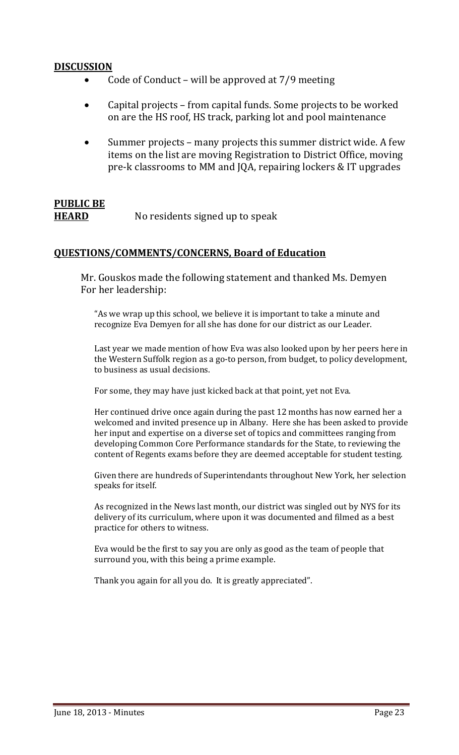#### **DISCUSSION**

- Code of Conduct will be approved at  $7/9$  meeting
- Capital projects from capital funds. Some projects to be worked on are the HS roof, HS track, parking lot and pool maintenance
- Summer projects many projects this summer district wide. A few items on the list are moving Registration to District Office, moving pre-k classrooms to MM and JQA, repairing lockers & IT upgrades

## **PUBLIC BE**

**HEARD** No residents signed up to speak

#### **QUESTIONS/COMMENTS/CONCERNS, Board of Education**

Mr. Gouskos made the following statement and thanked Ms. Demyen For her leadership:

"As we wrap up this school, we believe it is important to take a minute and recognize Eva Demyen for all she has done for our district as our Leader.

Last year we made mention of how Eva was also looked upon by her peers here in the Western Suffolk region as a go-to person, from budget, to policy development, to business as usual decisions.

For some, they may have just kicked back at that point, yet not Eva.

Her continued drive once again during the past 12 months has now earned her a welcomed and invited presence up in Albany. Here she has been asked to provide her input and expertise on a diverse set of topics and committees ranging from developing Common Core Performance standards for the State, to reviewing the content of Regents exams before they are deemed acceptable for student testing.

Given there are hundreds of Superintendants throughout New York, her selection speaks for itself.

As recognized in the News last month, our district was singled out by NYS for its delivery of its curriculum, where upon it was documented and filmed as a best practice for others to witness.

Eva would be the first to say you are only as good as the team of people that surround you, with this being a prime example.

Thank you again for all you do. It is greatly appreciated".